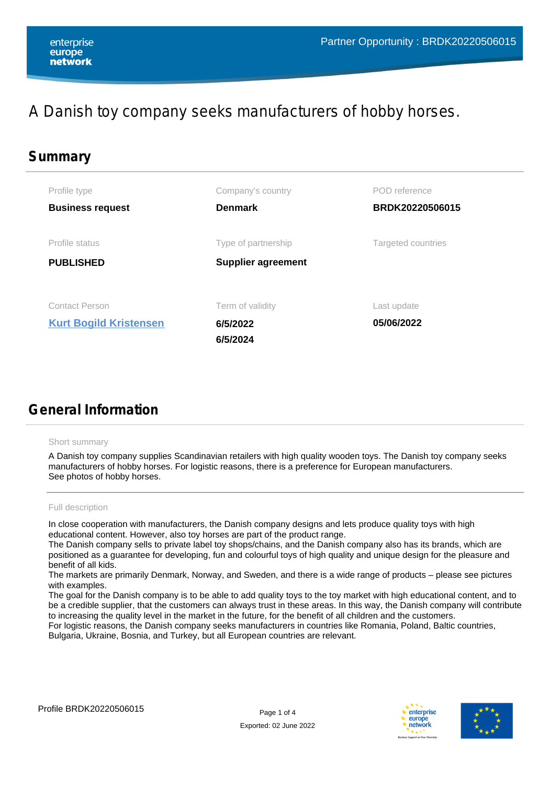# A Danish toy company seeks manufacturers of hobby horses.

| Summary |                               |                           |                    |
|---------|-------------------------------|---------------------------|--------------------|
|         | Profile type                  | Company's country         | POD reference      |
|         | <b>Business request</b>       | <b>Denmark</b>            | BRDK20220506015    |
|         | Profile status                | Type of partnership       | Targeted countries |
|         | <b>PUBLISHED</b>              | <b>Supplier agreement</b> |                    |
|         | <b>Contact Person</b>         | Term of validity          | Last update        |
|         | <b>Kurt Bogild Kristensen</b> | 6/5/2022                  | 05/06/2022         |
|         |                               | 6/5/2024                  |                    |

# **General Information**

## Short summary

A Danish toy company supplies Scandinavian retailers with high quality wooden toys. The Danish toy company seeks manufacturers of hobby horses. For logistic reasons, there is a preference for European manufacturers. See photos of hobby horses.

## Full description

In close cooperation with manufacturers, the Danish company designs and lets produce quality toys with high educational content. However, also toy horses are part of the product range.

The Danish company sells to private label toy shops/chains, and the Danish company also has its brands, which are positioned as a guarantee for developing, fun and colourful toys of high quality and unique design for the pleasure and benefit of all kids.

The markets are primarily Denmark, Norway, and Sweden, and there is a wide range of products – please see pictures with examples.

The goal for the Danish company is to be able to add quality toys to the toy market with high educational content, and to be a credible supplier, that the customers can always trust in these areas. In this way, the Danish company will contribute to increasing the quality level in the market in the future, for the benefit of all children and the customers.

For logistic reasons, the Danish company seeks manufacturers in countries like Romania, Poland, Baltic countries, Bulgaria, Ukraine, Bosnia, and Turkey, but all European countries are relevant.



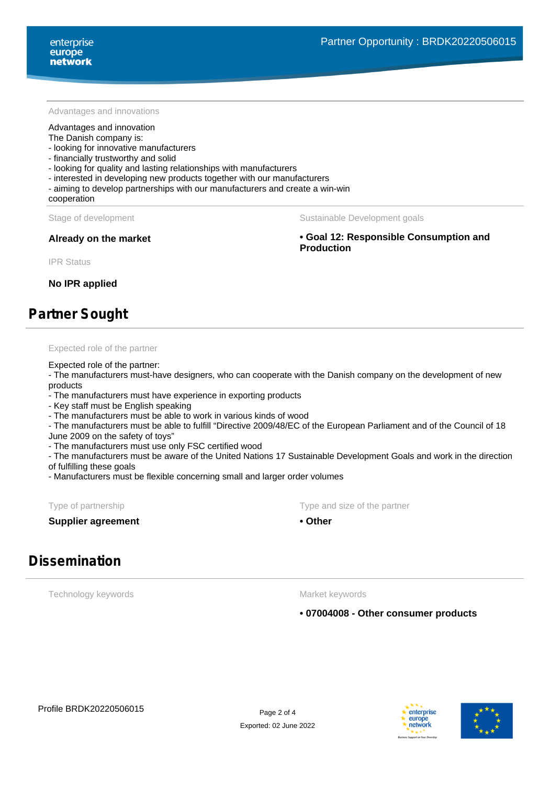#### Advantages and innovations

#### Advantages and innovation

### The Danish company is:

- looking for innovative manufacturers
- financially trustworthy and solid
- looking for quality and lasting relationships with manufacturers
- interested in developing new products together with our manufacturers
- aiming to develop partnerships with our manufacturers and create a win-win

## cooperation

#### Stage of development The Sustainable Development goals

**Already on the market • Goal 12: Responsible Consumption and Production**

IPR Status

**No IPR applied**

# **Partner Sought**

### Expected role of the partner

### Expected role of the partner:

- The manufacturers must-have designers, who can cooperate with the Danish company on the development of new products

- The manufacturers must have experience in exporting products

- Key staff must be English speaking

- The manufacturers must be able to work in various kinds of wood

- The manufacturers must be able to fulfill "Directive 2009/48/EC of the European Parliament and of the Council of 18

June 2009 on the safety of toys"

- The manufacturers must use only FSC certified wood

- The manufacturers must be aware of the United Nations 17 Sustainable Development Goals and work in the direction of fulfilling these goals

- Manufacturers must be flexible concerning small and larger order volumes

**Supplier agreement • Other** 

Type of partnership Type and size of the partnership Type and size of the partner

# **Dissemination**

Technology keywords

Market keywords

**• 07004008 - Other consumer products**



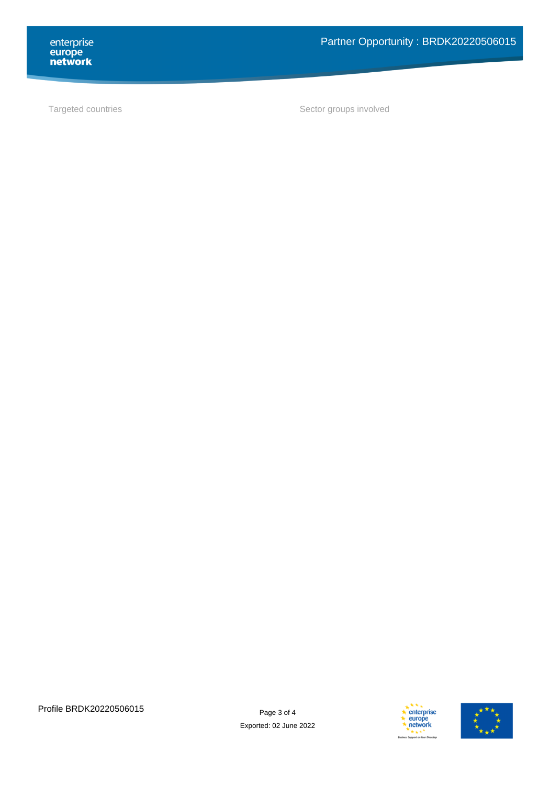enterprise<br> **europe<br>
network** 

Targeted countries and the sector groups involved